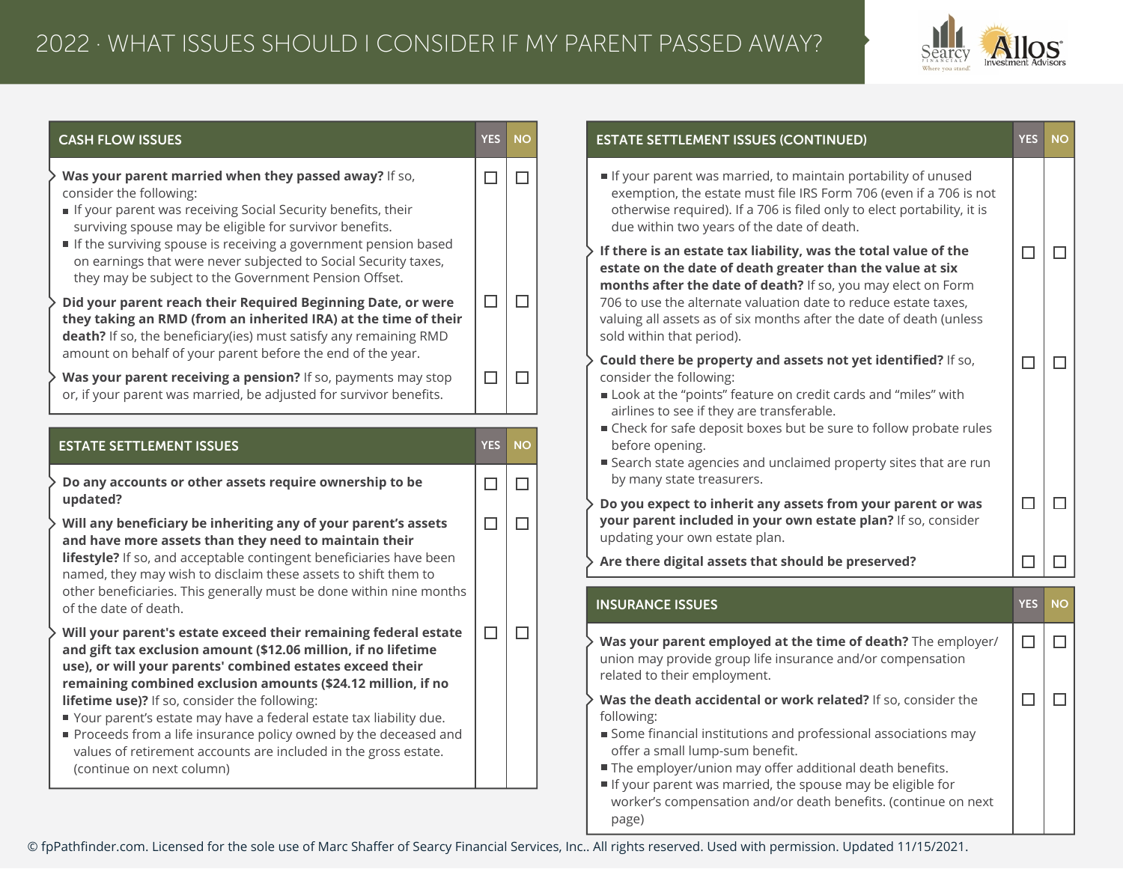

| <b>CASH FLOW ISSUES</b><br><b>YES</b><br><b>NO</b>                                                                                                                                                                                                                                                                                                                                                                      | <b>ESTATE SETTLEMENT ISSUES (CONTINUED)</b>                                                                                                                                                                                                                                                                                                                                         | <b>YES</b> |
|-------------------------------------------------------------------------------------------------------------------------------------------------------------------------------------------------------------------------------------------------------------------------------------------------------------------------------------------------------------------------------------------------------------------------|-------------------------------------------------------------------------------------------------------------------------------------------------------------------------------------------------------------------------------------------------------------------------------------------------------------------------------------------------------------------------------------|------------|
| Was your parent married when they passed away? If so,<br>$\Box$<br>$\Box$<br>consider the following:<br>If your parent was receiving Social Security benefits, their<br>surviving spouse may be eligible for survivor benefits.                                                                                                                                                                                         | If your parent was married, to maintain portability of unused<br>exemption, the estate must file IRS Form 706 (even if a 706 is not<br>otherwise required). If a 706 is filed only to elect portability, it is<br>due within two years of the date of death.                                                                                                                        |            |
| If the surviving spouse is receiving a government pension based<br>on earnings that were never subjected to Social Security taxes,<br>they may be subject to the Government Pension Offset.<br>$\Box$<br>$\Box$<br>Did your parent reach their Required Beginning Date, or were<br>they taking an RMD (from an inherited IRA) at the time of their<br>death? If so, the beneficiary(ies) must satisfy any remaining RMD | If there is an estate tax liability, was the total value of the<br>estate on the date of death greater than the value at six<br>months after the date of death? If so, you may elect on Form<br>706 to use the alternate valuation date to reduce estate taxes,<br>valuing all assets as of six months after the date of death (unless<br>sold within that period).                 | $\Box$     |
| amount on behalf of your parent before the end of the year.<br>Was your parent receiving a pension? If so, payments may stop<br>$\Box$<br>$\Box$<br>or, if your parent was married, be adjusted for survivor benefits.                                                                                                                                                                                                  | Could there be property and assets not yet identified? If so,<br>consider the following:<br>Look at the "points" feature on credit cards and "miles" with<br>airlines to see if they are transferable.<br>■ Check for safe deposit boxes but be sure to follow probate rules                                                                                                        | п          |
| <b>ESTATE SETTLEMENT ISSUES</b><br><b>YES</b><br><b>NO</b><br>Do any accounts or other assets require ownership to be<br>$\Box$<br>$\Box$                                                                                                                                                                                                                                                                               | before opening.<br>■ Search state agencies and unclaimed property sites that are run<br>by many state treasurers.                                                                                                                                                                                                                                                                   |            |
| updated?<br>$\Box$<br>$\Box$<br>Will any beneficiary be inheriting any of your parent's assets                                                                                                                                                                                                                                                                                                                          | Do you expect to inherit any assets from your parent or was<br>your parent included in your own estate plan? If so, consider                                                                                                                                                                                                                                                        | $\Box$     |
| and have more assets than they need to maintain their<br>lifestyle? If so, and acceptable contingent beneficiaries have been<br>named, they may wish to disclaim these assets to shift them to                                                                                                                                                                                                                          | updating your own estate plan.<br>Are there digital assets that should be preserved?                                                                                                                                                                                                                                                                                                | $\Box$     |
| other beneficiaries. This generally must be done within nine months<br>of the date of death.                                                                                                                                                                                                                                                                                                                            | <b>INSURANCE ISSUES</b>                                                                                                                                                                                                                                                                                                                                                             | <b>YES</b> |
| Will your parent's estate exceed their remaining federal estate<br>$\Box$<br>$\Box$<br>and gift tax exclusion amount (\$12.06 million, if no lifetime<br>use), or will your parents' combined estates exceed their<br>remaining combined exclusion amounts (\$24.12 million, if no                                                                                                                                      | Was your parent employed at the time of death? The employer/<br>union may provide group life insurance and/or compensation<br>related to their employment.                                                                                                                                                                                                                          | $\Box$     |
| lifetime use)? If so, consider the following:<br>■ Your parent's estate may have a federal estate tax liability due.<br>Proceeds from a life insurance policy owned by the deceased and<br>values of retirement accounts are included in the gross estate.<br>(continue on next column)                                                                                                                                 | Was the death accidental or work related? If so, consider the<br>following:<br>Some financial institutions and professional associations may<br>offer a small lump-sum benefit.<br>The employer/union may offer additional death benefits.<br>If your parent was married, the spouse may be eligible for<br>worker's compensation and/or death benefits. (continue on next<br>page) | $\Box$     |

© fpPathfinder.com. Licensed for the sole use of Marc Shaffer of Searcy Financial Services, Inc.. All rights reserved. Used with permission. Updated 11/15/2021.